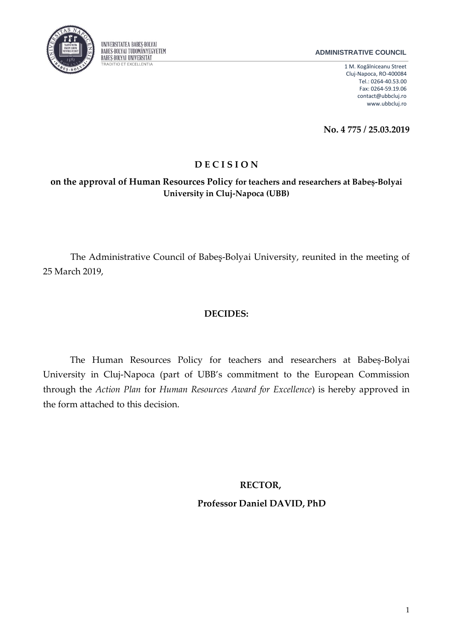

### **ADMINISTRATIVE COUNCIL**

1 M. Kogălniceanu Street Cluj-Napoca, RO-400084 Tel.: 0264-40.53.00 Fax: 0264-59.19.06 contact@ubbcluj.ro www.ubbcluj.ro

**No. 4 775 / 25.03.2019**

# **D E C I S I O N**

**on the approval of Human Resources Policy for teachers and researchers at Babeș-Bolyai University in Cluj-Napoca (UBB)**

The Administrative Council of Babeş-Bolyai University, reunited in the meeting of 25 March 2019,

## **DECIDES:**

The Human Resources Policy for teachers and researchers at Babeș-Bolyai University in Cluj-Napoca (part of UBB's commitment to the European Commission through the *Action Plan* for *Human Resources Award for Excellence*) is hereby approved in the form attached to this decision.

### **RECTOR,**

 **Professor Daniel DAVID, PhD**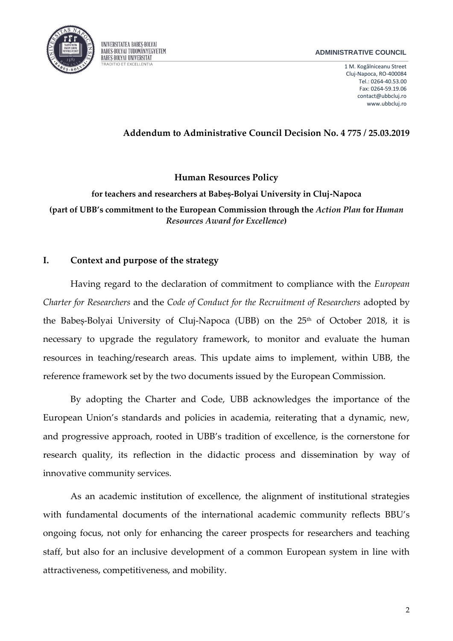

#### **ADMINISTRATIVE COUNCIL**

1 M. Kogălniceanu Street Cluj-Napoca, RO-400084 Tel.: 0264-40.53.00 Fax: 0264-59.19.06 contact@ubbcluj.ro www.ubbcluj.ro

### **Addendum to Administrative Council Decision No. 4 775 / 25.03.2019**

**Human Resources Policy**

**for teachers and researchers at Babeș-Bolyai University in Cluj-Napoca (part of UBB's commitment to the European Commission through the** *Action Plan* **for** *Human Resources Award for Excellence***)** 

### **I. Context and purpose of the strategy**

Having regard to the declaration of commitment to compliance with the *European Charter for Researchers* and the *Code of Conduct for the Recruitment of Researchers* adopted by the Babeș-Bolyai University of Cluj-Napoca (UBB) on the 25<sup>th</sup> of October 2018, it is necessary to upgrade the regulatory framework, to monitor and evaluate the human resources in teaching/research areas. This update aims to implement, within UBB, the reference framework set by the two documents issued by the European Commission.

By adopting the Charter and Code, UBB acknowledges the importance of the European Union's standards and policies in academia, reiterating that a dynamic, new, and progressive approach, rooted in UBB's tradition of excellence, is the cornerstone for research quality, its reflection in the didactic process and dissemination by way of innovative community services.

As an academic institution of excellence, the alignment of institutional strategies with fundamental documents of the international academic community reflects BBU's ongoing focus, not only for enhancing the career prospects for researchers and teaching staff, but also for an inclusive development of a common European system in line with attractiveness, competitiveness, and mobility.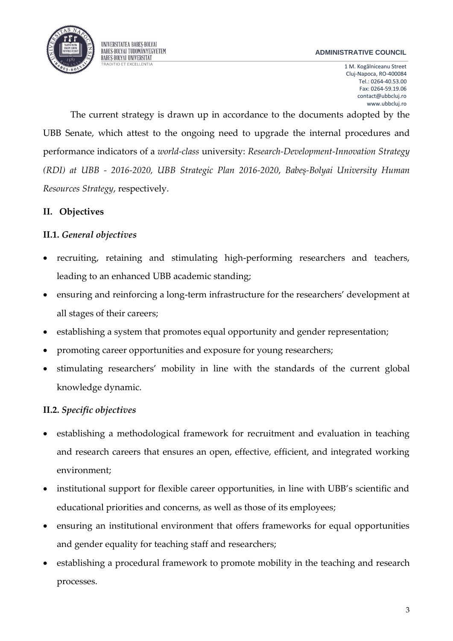

UNIVERSITATEA BABEȘ-BOLYAI **BABES-BOLYAI TUDOMÁNYEGYETEM BABES-BOLYAI UNIVERSITÄT** 

1 M. Kogălniceanu Street Cluj-Napoca, RO-400084 Tel.: 0264-40.53.00 Fax: 0264-59.19.06 contact@ubbcluj.ro www.ubbcluj.ro

The current strategy is drawn up in accordance to the documents adopted by the UBB Senate, which attest to the ongoing need to upgrade the internal procedures and performance indicators of a *world-class* university: *Research-Development-Innovation Strategy (RDI) at UBB - 2016-2020, UBB Strategic Plan 2016-2020*, *Babeș-Bolyai University Human Resources Strategy*, respectively.

### **II. Objectives**

### **II.1.** *General objectives*

- recruiting, retaining and stimulating high-performing researchers and teachers, leading to an enhanced UBB academic standing;
- ensuring and reinforcing a long-term infrastructure for the researchers' development at all stages of their careers;
- establishing a system that promotes equal opportunity and gender representation;
- promoting career opportunities and exposure for young researchers;
- stimulating researchers' mobility in line with the standards of the current global knowledge dynamic.

### **II.2.** *Specific objectives*

- establishing a methodological framework for recruitment and evaluation in teaching and research careers that ensures an open, effective, efficient, and integrated working environment;
- institutional support for flexible career opportunities, in line with UBB's scientific and educational priorities and concerns, as well as those of its employees;
- ensuring an institutional environment that offers frameworks for equal opportunities and gender equality for teaching staff and researchers;
- establishing a procedural framework to promote mobility in the teaching and research processes.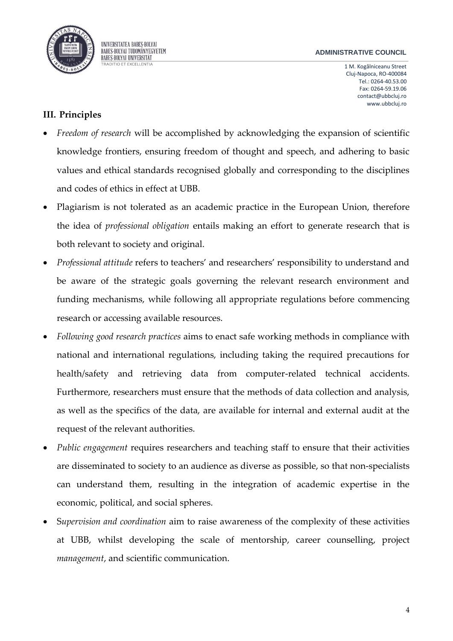

1 M. Kogălniceanu Street Cluj-Napoca, RO-400084 Tel.: 0264-40.53.00 Fax: 0264-59.19.06 contact@ubbcluj.ro www.ubbcluj.ro

## **III. Principles**

- *Freedom of research* will be accomplished by acknowledging the expansion of scientific knowledge frontiers, ensuring freedom of thought and speech, and adhering to basic values and ethical standards recognised globally and corresponding to the disciplines and codes of ethics in effect at UBB.
- Plagiarism is not tolerated as an academic practice in the European Union, therefore the idea of *professional obligation* entails making an effort to generate research that is both relevant to society and original.
- *Professional attitude* refers to teachers' and researchers' responsibility to understand and be aware of the strategic goals governing the relevant research environment and funding mechanisms, while following all appropriate regulations before commencing research or accessing available resources.
- *Following good research practices* aims to enact safe working methods in compliance with national and international regulations, including taking the required precautions for health/safety and retrieving data from computer-related technical accidents. Furthermore, researchers must ensure that the methods of data collection and analysis, as well as the specifics of the data, are available for internal and external audit at the request of the relevant authorities.
- *Public engagement* requires researchers and teaching staff to ensure that their activities are disseminated to society to an audience as diverse as possible, so that non-specialists can understand them, resulting in the integration of academic expertise in the economic, political, and social spheres.
- S*upervision and coordination* aim to raise awareness of the complexity of these activities at UBB, whilst developing the scale of mentorship, career counselling, project *management*, and scientific communication.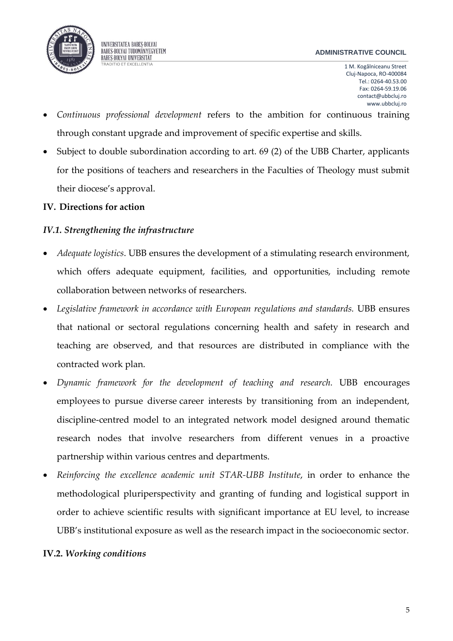

1 M. Kogălniceanu Street Cluj-Napoca, RO-400084 Tel.: 0264-40.53.00 Fax: 0264-59.19.06 contact@ubbcluj.ro www.ubbcluj.ro

- *Continuous professional development* refers to the ambition for continuous training through constant upgrade and improvement of specific expertise and skills.
- Subject to double subordination according to art. 69 (2) of the UBB Charter, applicants for the positions of teachers and researchers in the Faculties of Theology must submit their diocese's approval.

## **IV. Directions for action**

## *IV.1. Strengthening the infrastructure*

- *Adequate logistics*. UBB ensures the development of a stimulating research environment, which offers adequate equipment, facilities, and opportunities, including remote collaboration between networks of researchers.
- *Legislative framework in accordance with European regulations and standards.* UBB ensures that national or sectoral regulations concerning health and safety in research and teaching are observed, and that resources are distributed in compliance with the contracted work plan.
- *Dynamic framework for the development of teaching and research.* UBB encourages employees to pursue diverse career interests by transitioning from an independent, discipline-centred model to an integrated network model designed around thematic research nodes that involve researchers from different venues in a proactive partnership within various centres and departments.
- *Reinforcing the excellence academic unit STAR-UBB Institute*, in order to enhance the methodological pluriperspectivity and granting of funding and logistical support in order to achieve scientific results with significant importance at EU level, to increase UBB's institutional exposure as well as the research impact in the socioeconomic sector.

## **IV.2.** *Working conditions*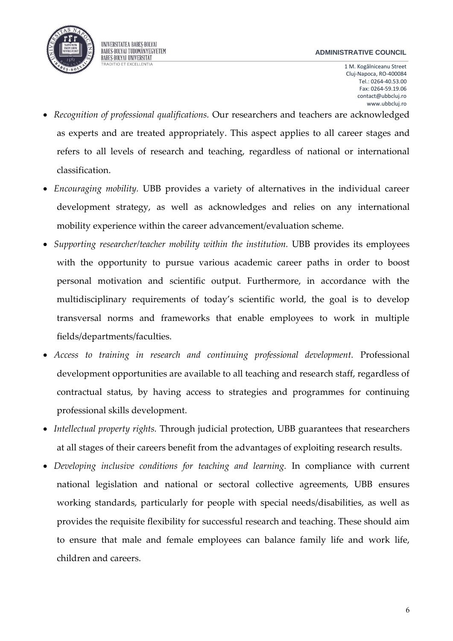

UNIVERSITATEA BABEȘ-BOLYAI **BABES-BOLYAI TUDOMÁNYEGYETEM BABES-BOLYAI UNIVERSITÄT** 

1 M. Kogălniceanu Street Cluj-Napoca, RO-400084 Tel.: 0264-40.53.00 Fax: 0264-59.19.06 contact@ubbcluj.ro www.ubbcluj.ro

- *Recognition of professional qualifications.* Our researchers and teachers are acknowledged as experts and are treated appropriately. This aspect applies to all career stages and refers to all levels of research and teaching, regardless of national or international classification.
- *Encouraging mobility.* UBB provides a variety of alternatives in the individual career development strategy, as well as acknowledges and relies on any international mobility experience within the career advancement/evaluation scheme.
- *Supporting researcher/teacher mobility within the institution.* UBB provides its employees with the opportunity to pursue various academic career paths in order to boost personal motivation and scientific output. Furthermore, in accordance with the multidisciplinary requirements of today's scientific world, the goal is to develop transversal norms and frameworks that enable employees to work in multiple fields/departments/faculties.
- *Access to training in research and continuing professional development.* Professional development opportunities are available to all teaching and research staff, regardless of contractual status, by having access to strategies and programmes for continuing professional skills development.
- *Intellectual property rights.* Through judicial protection, UBB guarantees that researchers at all stages of their careers benefit from the advantages of exploiting research results.
- *Developing inclusive conditions for teaching and learning.* In compliance with current national legislation and national or sectoral collective agreements, UBB ensures working standards, particularly for people with special needs/disabilities, as well as provides the requisite flexibility for successful research and teaching. These should aim to ensure that male and female employees can balance family life and work life, children and careers.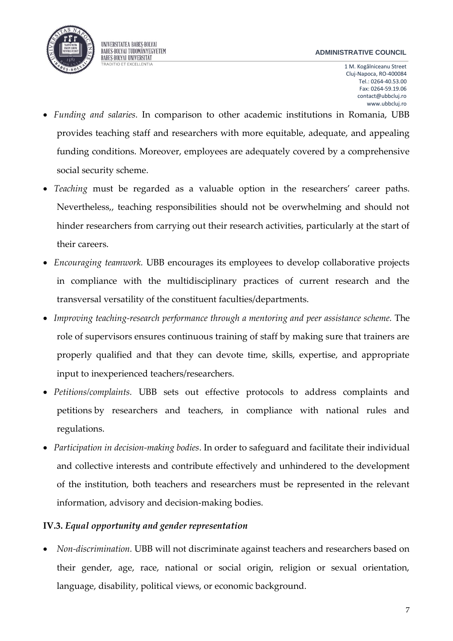

UNIVERSITATEA BABEȘ-BOLYAI **BABES-BOLYAI TUDOMÁNYEGYETEM BABES-BOLYAI UNIVERSITÄT** 

1 M. Kogălniceanu Street Cluj-Napoca, RO-400084 Tel.: 0264-40.53.00 Fax: 0264-59.19.06 contact@ubbcluj.ro www.ubbcluj.ro

- *Funding and salaries.* In comparison to other academic institutions in Romania, UBB provides teaching staff and researchers with more equitable, adequate, and appealing funding conditions. Moreover, employees are adequately covered by a comprehensive social security scheme.
- *Teaching* must be regarded as a valuable option in the researchers' career paths. Nevertheless,, teaching responsibilities should not be overwhelming and should not hinder researchers from carrying out their research activities, particularly at the start of their careers.
- *Encouraging teamwork.* UBB encourages its employees to develop collaborative projects in compliance with the multidisciplinary practices of current research and the transversal versatility of the constituent faculties/departments.
- *Improving teaching-research performance through a mentoring and peer assistance scheme.* The role of supervisors ensures continuous training of staff by making sure that trainers are properly qualified and that they can devote time, skills, expertise, and appropriate input to inexperienced teachers/researchers.
- *Petitions/complaints.* UBB sets out effective protocols to address complaints and petitions by researchers and teachers, in compliance with national rules and regulations.
- *Participation in decision-making bodies*. In order to safeguard and facilitate their individual and collective interests and contribute effectively and unhindered to the development of the institution, both teachers and researchers must be represented in the relevant information, advisory and decision-making bodies.

### **IV.3.** *Equal opportunity and gender representation*

 *Non-discrimination.* UBB will not discriminate against teachers and researchers based on their gender, age, race, national or social origin, religion or sexual orientation, language, disability, political views, or economic background.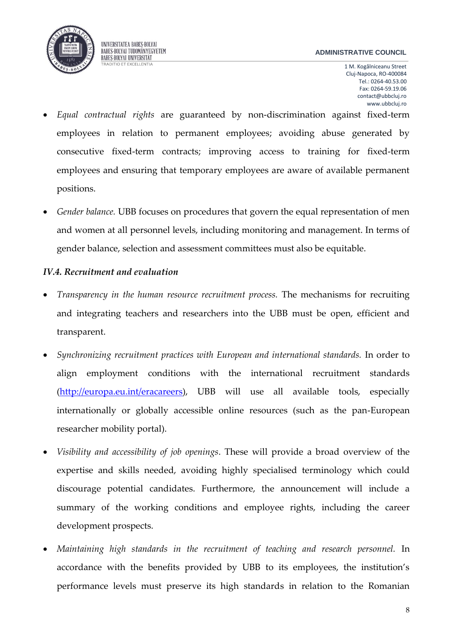

UNIVERSITATEA BABEȘ-BOLYAI BABES-BOLYAI TUDOMÁNYEGYETEM **BABES-BOLYAI UNIVERSITÄT** 

1 M. Kogălniceanu Street Cluj-Napoca, RO-400084 Tel.: 0264-40.53.00 Fax: 0264-59.19.06 contact@ubbcluj.ro www.ubbcluj.ro

- *Equal contractual rights* are guaranteed by non-discrimination against fixed-term employees in relation to permanent employees; avoiding abuse generated by consecutive fixed-term contracts; improving access to training for fixed-term employees and ensuring that temporary employees are aware of available permanent positions.
- *Gender balance.* UBB focuses on procedures that govern the equal representation of men and women at all personnel levels, including monitoring and management. In terms of gender balance, selection and assessment committees must also be equitable.

### *IV.4. Recruitment and evaluation*

- *Transparency in the human resource recruitment process.* The mechanisms for recruiting and integrating teachers and researchers into the UBB must be open, efficient and transparent.
- *Synchronizing recruitment practices with European and international standards.* In order to align employment conditions with the international recruitment standards [\(http://europa.eu.int/eracareers\)](http://europa.eu.int/eracareers), UBB will use all available tools, especially internationally or globally accessible online resources (such as the pan-European researcher mobility portal).
- *Visibility and accessibility of job openings*. These will provide a broad overview of the expertise and skills needed, avoiding highly specialised terminology which could discourage potential candidates. Furthermore, the announcement will include a summary of the working conditions and employee rights, including the career development prospects.
- *Maintaining high standards in the recruitment of teaching and research personnel.* In accordance with the benefits provided by UBB to its employees, the institution's performance levels must preserve its high standards in relation to the Romanian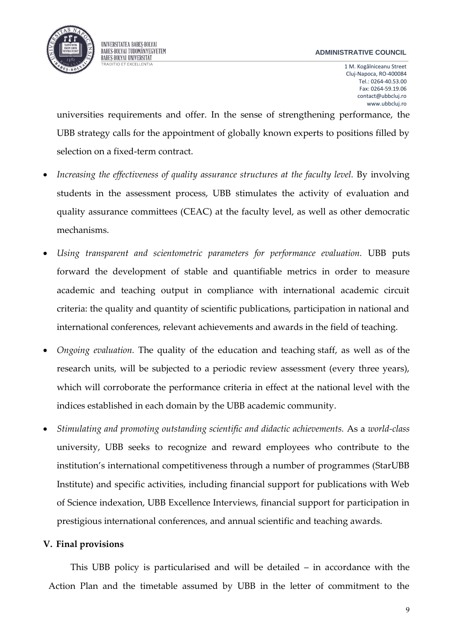#### **ADMINISTRATIVE COUNCIL**

1 M. Kogălniceanu Street Cluj-Napoca, RO-400084 Tel.: 0264-40.53.00 Fax: 0264-59.19.06 contact@ubbcluj.ro www.ubbcluj.ro

universities requirements and offer. In the sense of strengthening performance, the UBB strategy calls for the appointment of globally known experts to positions filled by selection on a fixed-term contract.

- *Increasing the effectiveness of quality assurance structures at the faculty level.* By involving students in the assessment process, UBB stimulates the activity of evaluation and quality assurance committees (CEAC) at the faculty level, as well as other democratic mechanisms.
- *Using transparent and scientometric parameters for performance evaluation.* UBB puts forward the development of stable and quantifiable metrics in order to measure academic and teaching output in compliance with international academic circuit criteria: the quality and quantity of scientific publications, participation in national and international conferences, relevant achievements and awards in the field of teaching.
- *Ongoing evaluation.* The quality of the education and teaching staff, as well as of the research units, will be subjected to a periodic review assessment (every three years), which will corroborate the performance criteria in effect at the national level with the indices established in each domain by the UBB academic community.
- *Stimulating and promoting outstanding scientific and didactic achievements.* As a *world-class* university, UBB seeks to recognize and reward employees who contribute to the institution's international competitiveness through a number of programmes (StarUBB Institute) and specific activities, including financial support for publications with Web of Science indexation, UBB Excellence Interviews, financial support for participation in prestigious international conferences, and annual scientific and teaching awards.

### **V. Final provisions**

This UBB policy is particularised and will be detailed – in accordance with the Action Plan and the timetable assumed by UBB in the letter of commitment to the